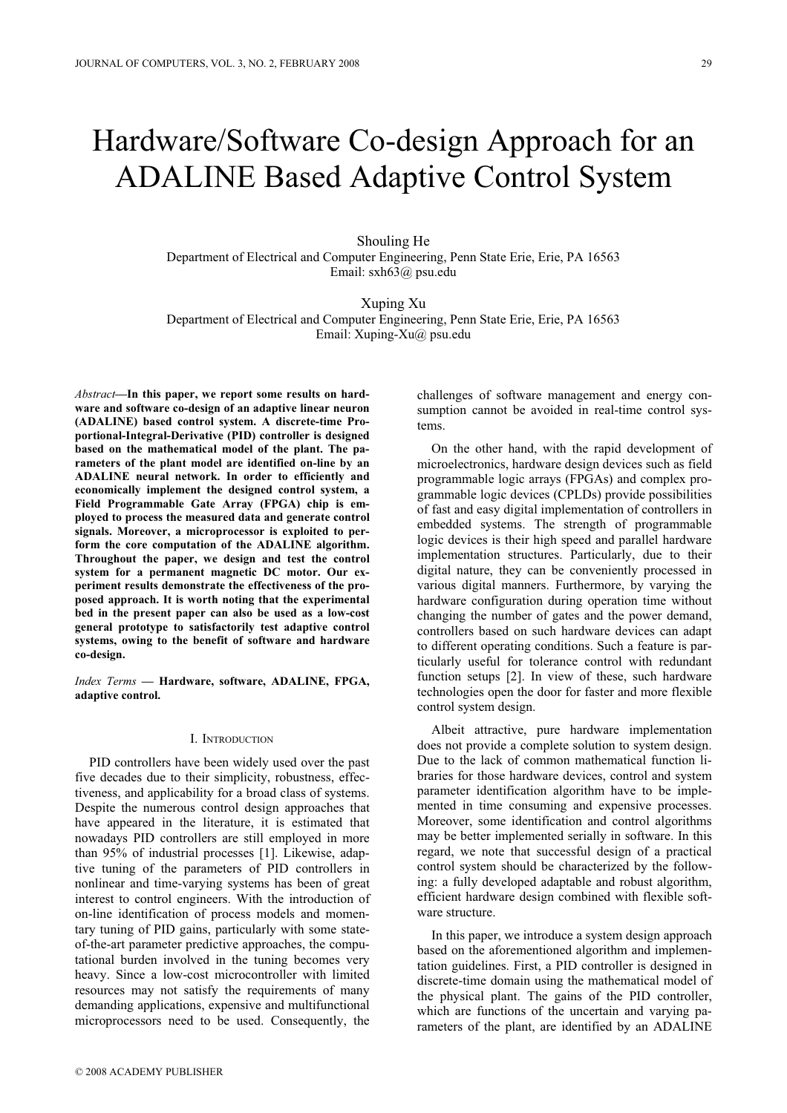# Hardware/Software Co-design Approach for an ADALINE Based Adaptive Control System

Shouling He Department of Electrical and Computer Engineering, Penn State Erie, Erie, PA 16563 Email: sxh63@ psu.edu

Xuping Xu Department of Electrical and Computer Engineering, Penn State Erie, Erie, PA 16563 Email: Xuping-Xu@ psu.edu

*Abstract***—In this paper, we report some results on hardware and software co-design of an adaptive linear neuron (ADALINE) based control system. A discrete-time Proportional-Integral-Derivative (PID) controller is designed based on the mathematical model of the plant. The parameters of the plant model are identified on-line by an ADALINE neural network. In order to efficiently and economically implement the designed control system, a Field Programmable Gate Array (FPGA) chip is employed to process the measured data and generate control signals. Moreover, a microprocessor is exploited to perform the core computation of the ADALINE algorithm. Throughout the paper, we design and test the control system for a permanent magnetic DC motor. Our experiment results demonstrate the effectiveness of the proposed approach. It is worth noting that the experimental bed in the present paper can also be used as a low-cost general prototype to satisfactorily test adaptive control systems, owing to the benefit of software and hardware co-design.** 

*Index Terms* **— Hardware, software, ADALINE, FPGA, adaptive control.** 

# I. INTRODUCTION

PID controllers have been widely used over the past five decades due to their simplicity, robustness, effectiveness, and applicability for a broad class of systems. Despite the numerous control design approaches that have appeared in the literature, it is estimated that nowadays PID controllers are still employed in more than 95% of industrial processes [1]. Likewise, adaptive tuning of the parameters of PID controllers in nonlinear and time-varying systems has been of great interest to control engineers. With the introduction of on-line identification of process models and momentary tuning of PID gains, particularly with some stateof-the-art parameter predictive approaches, the computational burden involved in the tuning becomes very heavy. Since a low-cost microcontroller with limited resources may not satisfy the requirements of many demanding applications, expensive and multifunctional microprocessors need to be used. Consequently, the challenges of software management and energy consumption cannot be avoided in real-time control systems.

On the other hand, with the rapid development of microelectronics, hardware design devices such as field programmable logic arrays (FPGAs) and complex programmable logic devices (CPLDs) provide possibilities of fast and easy digital implementation of controllers in embedded systems. The strength of programmable logic devices is their high speed and parallel hardware implementation structures. Particularly, due to their digital nature, they can be conveniently processed in various digital manners. Furthermore, by varying the hardware configuration during operation time without changing the number of gates and the power demand, controllers based on such hardware devices can adapt to different operating conditions. Such a feature is particularly useful for tolerance control with redundant function setups [2]. In view of these, such hardware technologies open the door for faster and more flexible control system design.

Albeit attractive, pure hardware implementation does not provide a complete solution to system design. Due to the lack of common mathematical function libraries for those hardware devices, control and system parameter identification algorithm have to be implemented in time consuming and expensive processes. Moreover, some identification and control algorithms may be better implemented serially in software. In this regard, we note that successful design of a practical control system should be characterized by the following: a fully developed adaptable and robust algorithm, efficient hardware design combined with flexible software structure.

In this paper, we introduce a system design approach based on the aforementioned algorithm and implementation guidelines. First, a PID controller is designed in discrete-time domain using the mathematical model of the physical plant. The gains of the PID controller, which are functions of the uncertain and varying parameters of the plant, are identified by an ADALINE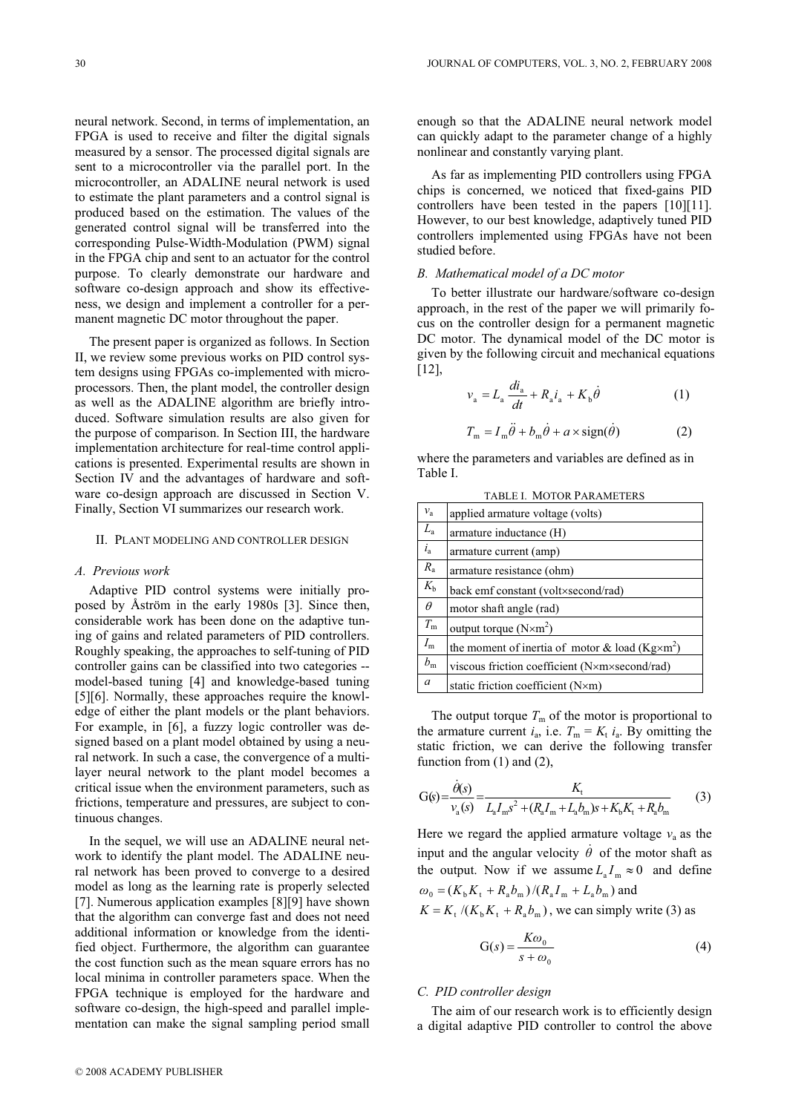neural network. Second, in terms of implementation, an FPGA is used to receive and filter the digital signals measured by a sensor. The processed digital signals are sent to a microcontroller via the parallel port. In the microcontroller, an ADALINE neural network is used to estimate the plant parameters and a control signal is produced based on the estimation. The values of the generated control signal will be transferred into the corresponding Pulse-Width-Modulation (PWM) signal in the FPGA chip and sent to an actuator for the control purpose. To clearly demonstrate our hardware and software co-design approach and show its effectiveness, we design and implement a controller for a permanent magnetic DC motor throughout the paper.

The present paper is organized as follows. In Section II, we review some previous works on PID control system designs using FPGAs co-implemented with microprocessors. Then, the plant model, the controller design as well as the ADALINE algorithm are briefly introduced. Software simulation results are also given for the purpose of comparison. In Section III, the hardware implementation architecture for real-time control applications is presented. Experimental results are shown in Section IV and the advantages of hardware and software co-design approach are discussed in Section V. Finally, Section VI summarizes our research work.

### II. PLANT MODELING AND CONTROLLER DESIGN

# *A. Previous work*

Adaptive PID control systems were initially proposed by Åström in the early 1980s [3]. Since then, considerable work has been done on the adaptive tuning of gains and related parameters of PID controllers. Roughly speaking, the approaches to self-tuning of PID controller gains can be classified into two categories - model-based tuning [4] and knowledge-based tuning [5][6]. Normally, these approaches require the knowledge of either the plant models or the plant behaviors. For example, in [6], a fuzzy logic controller was designed based on a plant model obtained by using a neural network. In such a case, the convergence of a multilayer neural network to the plant model becomes a critical issue when the environment parameters, such as frictions, temperature and pressures, are subject to continuous changes.

In the sequel, we will use an ADALINE neural network to identify the plant model. The ADALINE neural network has been proved to converge to a desired model as long as the learning rate is properly selected [7]. Numerous application examples [8][9] have shown that the algorithm can converge fast and does not need additional information or knowledge from the identified object. Furthermore, the algorithm can guarantee the cost function such as the mean square errors has no local minima in controller parameters space. When the FPGA technique is employed for the hardware and software co-design, the high-speed and parallel implementation can make the signal sampling period small

enough so that the ADALINE neural network model can quickly adapt to the parameter change of a highly nonlinear and constantly varying plant.

As far as implementing PID controllers using FPGA chips is concerned, we noticed that fixed-gains PID controllers have been tested in the papers [10][11]. However, to our best knowledge, adaptively tuned PID controllers implemented using FPGAs have not been studied before.

# *B. Mathematical model of a DC motor*

To better illustrate our hardware/software co-design approach, in the rest of the paper we will primarily focus on the controller design for a permanent magnetic DC motor. The dynamical model of the DC motor is given by the following circuit and mechanical equations [12],

$$
v_{\rm a} = L_{\rm a} \frac{di_{\rm a}}{dt} + R_{\rm a}i_{\rm a} + K_{\rm b}\dot{\theta} \tag{1}
$$

$$
T_{\rm m} = I_{\rm m}\ddot{\theta} + b_{\rm m}\dot{\theta} + a \times \text{sign}(\dot{\theta})
$$
 (2)

where the parameters and variables are defined as in Table I.

| <b>TABLE I. MOTOR PARAMETERS</b> |                                                          |  |  |  |
|----------------------------------|----------------------------------------------------------|--|--|--|
| $v_a$                            | applied armature voltage (volts)                         |  |  |  |
| $L_{\rm a}$                      | armature inductance (H)                                  |  |  |  |
| $i_{\rm a}$                      | armature current (amp)                                   |  |  |  |
| $R_{\rm a}$                      | armature resistance (ohm)                                |  |  |  |
| $K_{\rm b}$                      | back emf constant (volt×second/rad)                      |  |  |  |
| $\theta$                         | motor shaft angle (rad)                                  |  |  |  |
| $T_{\rm m}$                      | output torque $(N \times m^2)$                           |  |  |  |
| $I_{\rm m}$                      | the moment of inertia of motor & load ( $Kg\times m^2$ ) |  |  |  |
| $b_{\rm m}$                      | viscous friction coefficient (N×m×second/rad)            |  |  |  |
| $\mathfrak a$                    | static friction coefficient (N×m)                        |  |  |  |

The output torque  $T<sub>m</sub>$  of the motor is proportional to the armature current  $i_a$ , i.e.  $T_m = K_t$ ,  $i_a$ . By omitting the static friction, we can derive the following transfer function from (1) and (2),

$$
G(s) = \frac{\dot{\theta}(s)}{v_a(s)} = \frac{K_t}{L_a I_m s^2 + (R_a I_m + L_a b_m)s + K_b K_t + R_a b_m}
$$
(3)

Here we regard the applied armature voltage  $v_a$  as the input and the angular velocity  $\dot{\theta}$  of the motor shaft as the output. Now if we assume  $L_a I_m \approx 0$  and define  $\omega_0 = (K_b K_t + R_a b_m) / (R_a I_m + L_a b_m)$  and  $K = K_t / (K_b K_t + R_a b_m)$ , we can simply write (3) as

$$
G(s) = \frac{K\omega_0}{s + \omega_0} \tag{4}
$$

# *C. PID controller design*

The aim of our research work is to efficiently design a digital adaptive PID controller to control the above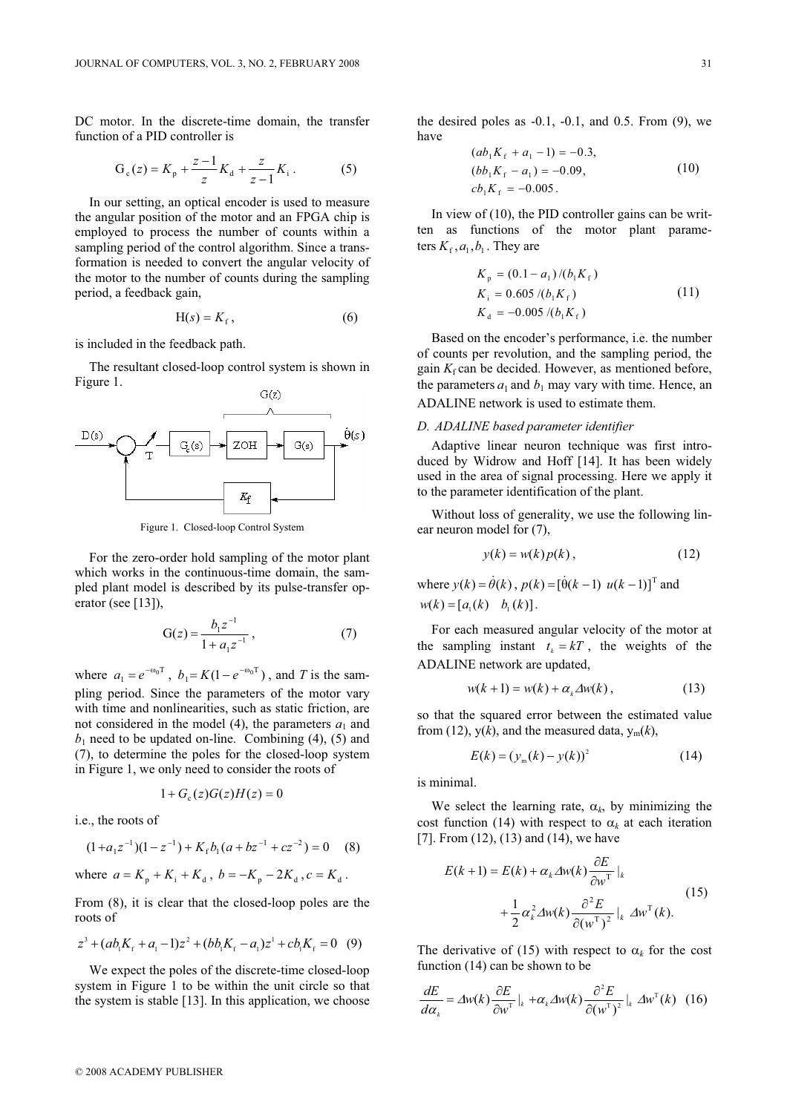DC motor. In the discrete-time domain, the transfer function of a PID controller is

$$
G_c(z) = K_p + \frac{z-1}{z} K_d + \frac{z}{z-1} K_i.
$$
 (5)

In our setting, an optical encoder is used to measure the angular position of the motor and an FPGA chip is employed to process the number of counts within a sampling period of the control algorithm. Since a transformation is needed to convert the angular velocity of the motor to the number of counts during the sampling period, a feedback gain,

$$
H(s) = K_f, \tag{6}
$$

is included in the feedback path.

The resultant closed-loop control system is shown in Figure 1.



Figure 1. Closed-loop Control System

For the zero-order hold sampling of the motor plant which works in the continuous-time domain, the sampled plant model is described by its pulse-transfer operator (see [13]),

$$
G(z) = \frac{b_1 z^{-1}}{1 + a_1 z^{-1}},
$$
\n(7)

where  $a_1 = e^{-\omega_0 T}$ ,  $b_1 = K(1 - e^{-\omega_0 T})$ , and *T* is the sampling period. Since the parameters of the motor vary with time and nonlinearities, such as static friction, are not considered in the model (4), the parameters  $a_1$  and  $b_1$  need to be updated on-line. Combining (4), (5) and (7), to determine the poles for the closed-loop system in Figure 1, we only need to consider the roots of

$$
1 + G_{\rm c}(z)G(z)H(z) = 0
$$

i.e., the roots of

$$
(1+a_1z^{-1})(1-z^{-1})+K_f b_1(a+bz^{-1}+cz^{-2})=0\quad \ \ (8)
$$

where  $a = K_n + K_i + K_d$ ,  $b = -K_n - 2K_d$ ,  $c = K_d$ .

From (8), it is clear that the closed-loop poles are the roots of

$$
z^3 + (ab_1K_f + a_1 - 1)z^2 + (bb_1K_f - a_1)z^1 + cb_1K_f = 0 \quad (9)
$$

We expect the poles of the discrete-time closed-loop system in Figure 1 to be within the unit circle so that the system is stable [13]. In this application, we choose

the desired poles as  $-0.1$ ,  $-0.1$ , and 0.5. From  $(9)$ , we have

$$
(ab1Kf + a1 - 1) = -0.3,(bb1Kf - a1) = -0.09,cb1Kf = -0.005.
$$
 (10)

In view of (10), the PID controller gains can be written as functions of the motor plant parameters  $K_{\epsilon}$ ,  $a_1$ ,  $b_1$ . They are

$$
K_{\rm p} = (0.1 - a_{1})/(b_{1}K_{\rm f})
$$
  
\n
$$
K_{\rm i} = 0.605/(b_{1}K_{\rm f})
$$
  
\n
$$
K_{\rm d} = -0.005/(b_{1}K_{\rm f})
$$
\n(11)

Based on the encoder's performance, i.e. the number of counts per revolution, and the sampling period, the gain  $K_f$  can be decided. However, as mentioned before, the parameters  $a_1$  and  $b_1$  may vary with time. Hence, an ADALINE network is used to estimate them.

# *D. ADALINE based parameter identifier*

Adaptive linear neuron technique was first introduced by Widrow and Hoff [14]. It has been widely used in the area of signal processing. Here we apply it to the parameter identification of the plant.

Without loss of generality, we use the following linear neuron model for (7),

$$
y(k) = w(k)p(k), \qquad (12)
$$

where  $y(k) = \dot{\theta}(k)$ ,  $p(k) = [\dot{\theta}(k-1) \ u(k-1)]^T$  and  $w(k) = [a, (k) \quad b, (k)].$ 

For each measured angular velocity of the motor at the sampling instant  $t_k = kT$ , the weights of the ADALINE network are updated,

$$
w(k+1) = w(k) + \alpha_k \Delta w(k), \qquad (13)
$$

so that the squared error between the estimated value from (12),  $y(k)$ , and the measured data,  $y_m(k)$ ,

$$
E(k) = (y_m(k) - y(k))^2
$$
 (14)

is minimal.

We select the learning rate,  $\alpha_k$ , by minimizing the cost function (14) with respect to  $\alpha_k$  at each iteration [7]. From (12), (13) and (14), we have

$$
E(k+1) = E(k) + \alpha_k \Delta w(k) \frac{\partial E}{\partial w^T} \Big|_{k}
$$
  
+ 
$$
\frac{1}{2} \alpha_k^2 \Delta w(k) \frac{\partial^2 E}{\partial (w^T)^2} \Big|_{k} \Delta w^T(k).
$$
 (15)

The derivative of (15) with respect to  $\alpha_k$  for the cost function (14) can be shown to be

$$
\frac{dE}{d\alpha_k} = \Delta w(k) \frac{\partial E}{\partial w^T}\Big|_{k} + \alpha_k \Delta w(k) \frac{\partial^2 E}{\partial (w^T)^2}\Big|_{k} \Delta w^T(k) \quad (16)
$$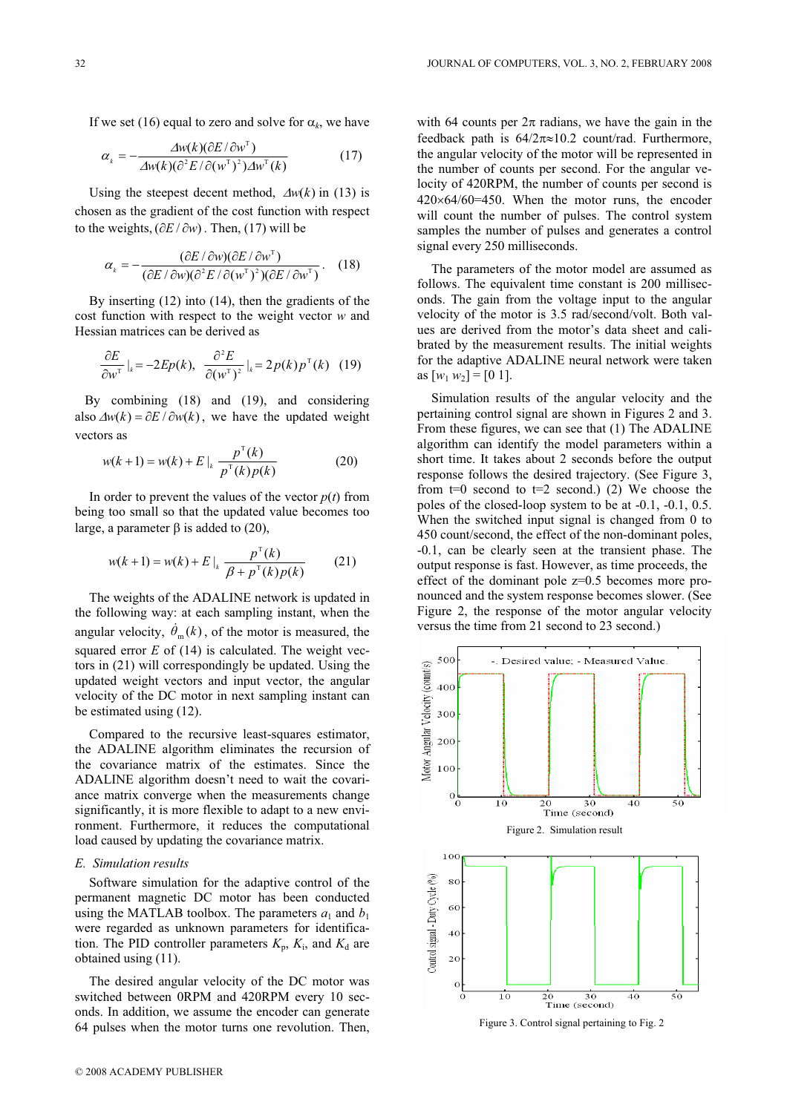If we set (16) equal to zero and solve for  $\alpha_k$ , we have

$$
\alpha_{k} = -\frac{\Delta w(k)(\partial E/\partial w^{T})}{\Delta w(k)(\partial^{2} E/\partial (w^{T})^{2})\Delta w^{T}(k)} \tag{17}
$$

Using the steepest decent method,  $\Delta w(k)$  in (13) is chosen as the gradient of the cost function with respect to the weights,  $(\partial E / \partial w)$ . Then, (17) will be

$$
\alpha_{k} = -\frac{(\partial E/\partial w)(\partial E/\partial w^{\mathrm{T}})}{(\partial E/\partial w)(\partial^{2} E/\partial (w^{\mathrm{T}})^{2})(\partial E/\partial w^{\mathrm{T}})}.
$$
 (18)

By inserting (12) into (14), then the gradients of the cost function with respect to the weight vector *w* and Hessian matrices can be derived as

$$
\frac{\partial E}{\partial w^{\mathrm{T}}} \big|_{k} = -2Ep(k), \quad \frac{\partial^2 E}{\partial (w^{\mathrm{T}})^2} \big|_{k} = 2p(k)p^{\mathrm{T}}(k) \quad (19)
$$

 By combining (18) and (19), and considering also  $\Delta w(k) = \partial E / \partial w(k)$ , we have the updated weight vectors as

$$
w(k+1) = w(k) + E \Big|_{k} \frac{p^{T}(k)}{p^{T}(k)p(k)}
$$
 (20)

In order to prevent the values of the vector  $p(t)$  from being too small so that the updated value becomes too large, a parameter  $\beta$  is added to (20),

$$
w(k+1) = w(k) + E \Big|_{k} \frac{p^{T}(k)}{\beta + p^{T}(k)p(k)} \qquad (21)
$$

The weights of the ADALINE network is updated in the following way: at each sampling instant, when the angular velocity,  $\dot{\theta}_m(k)$ , of the motor is measured, the squared error  $E$  of (14) is calculated. The weight vectors in (21) will correspondingly be updated. Using the updated weight vectors and input vector, the angular velocity of the DC motor in next sampling instant can be estimated using (12).

Compared to the recursive least-squares estimator, the ADALINE algorithm eliminates the recursion of the covariance matrix of the estimates. Since the ADALINE algorithm doesn't need to wait the covariance matrix converge when the measurements change significantly, it is more flexible to adapt to a new environment. Furthermore, it reduces the computational load caused by updating the covariance matrix.

# *E. Simulation results*

Software simulation for the adaptive control of the permanent magnetic DC motor has been conducted using the MATLAB toolbox. The parameters  $a_1$  and  $b_1$ were regarded as unknown parameters for identification. The PID controller parameters  $K_p$ ,  $K_i$ , and  $K_d$  are obtained using (11).

The desired angular velocity of the DC motor was switched between 0RPM and 420RPM every 10 seconds. In addition, we assume the encoder can generate 64 pulses when the motor turns one revolution. Then,

with 64 counts per  $2\pi$  radians, we have the gain in the feedback path is  $64/2\pi \approx 10.2$  count/rad. Furthermore, the angular velocity of the motor will be represented in the number of counts per second. For the angular velocity of 420RPM, the number of counts per second is  $420\times64/60=450$ . When the motor runs, the encoder will count the number of pulses. The control system samples the number of pulses and generates a control signal every 250 milliseconds.

The parameters of the motor model are assumed as follows. The equivalent time constant is 200 milliseconds. The gain from the voltage input to the angular velocity of the motor is 3.5 rad/second/volt. Both values are derived from the motor's data sheet and calibrated by the measurement results. The initial weights for the adaptive ADALINE neural network were taken as  $[w_1 \, w_2] = [0 \, 1].$ 

Simulation results of the angular velocity and the pertaining control signal are shown in Figures 2 and 3. From these figures, we can see that (1) The ADALINE algorithm can identify the model parameters within a short time. It takes about 2 seconds before the output response follows the desired trajectory. (See Figure 3, from  $t=0$  second to  $t=2$  second.) (2) We choose the poles of the closed-loop system to be at -0.1, -0.1, 0.5. When the switched input signal is changed from 0 to 450 count/second, the effect of the non-dominant poles, -0.1, can be clearly seen at the transient phase. The output response is fast. However, as time proceeds, the effect of the dominant pole z=0.5 becomes more pronounced and the system response becomes slower. (See Figure 2, the response of the motor angular velocity versus the time from 21 second to 23 second.)



Figure 3. Control signal pertaining to Fig. 2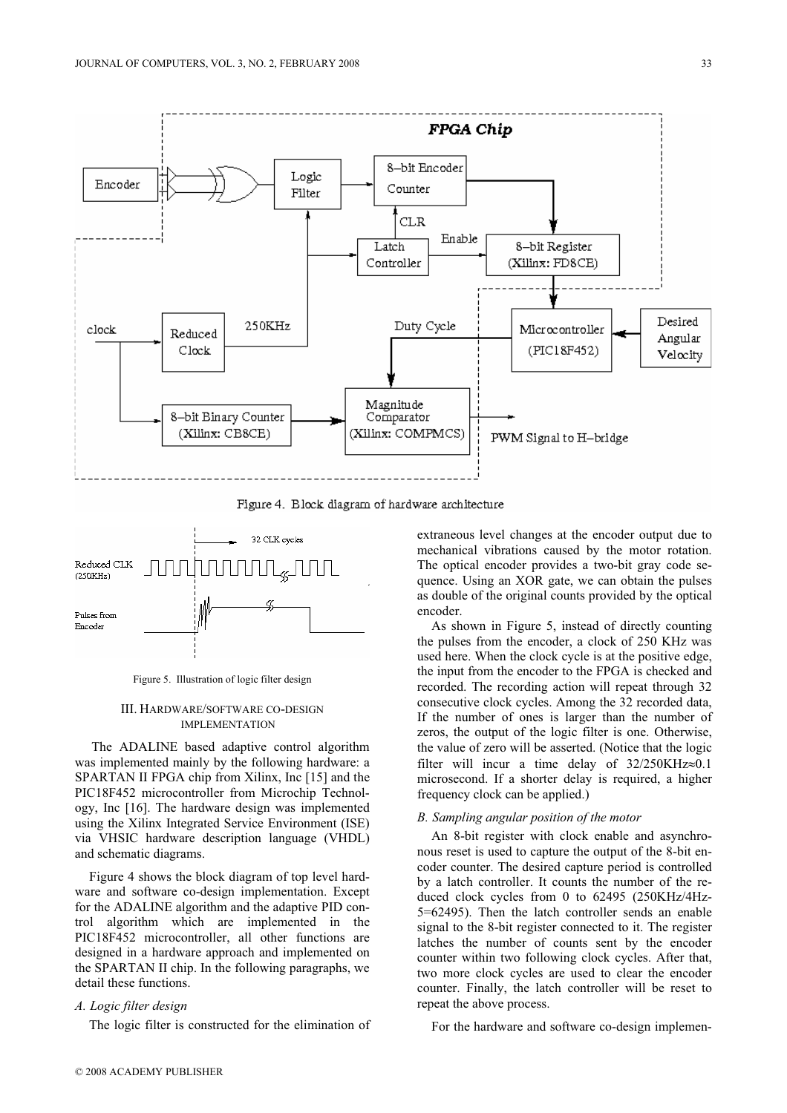

Figure 4. Block diagram of hardware architecture



Figure 5. Illustration of logic filter design

# III. HARDWARE/SOFTWARE CO-DESIGN IMPLEMENTATION

 The ADALINE based adaptive control algorithm was implemented mainly by the following hardware: a SPARTAN II FPGA chip from Xilinx, Inc [15] and the PIC18F452 microcontroller from Microchip Technology, Inc [16]. The hardware design was implemented using the Xilinx Integrated Service Environment (ISE) via VHSIC hardware description language (VHDL) and schematic diagrams.

Figure 4 shows the block diagram of top level hardware and software co-design implementation. Except for the ADALINE algorithm and the adaptive PID control algorithm which are implemented in the PIC18F452 microcontroller, all other functions are designed in a hardware approach and implemented on the SPARTAN II chip. In the following paragraphs, we detail these functions.

# *A. Logic filter design*

The logic filter is constructed for the elimination of

extraneous level changes at the encoder output due to mechanical vibrations caused by the motor rotation. The optical encoder provides a two-bit gray code sequence. Using an XOR gate, we can obtain the pulses as double of the original counts provided by the optical encoder.

As shown in Figure 5, instead of directly counting the pulses from the encoder, a clock of 250 KHz was used here. When the clock cycle is at the positive edge, the input from the encoder to the FPGA is checked and recorded. The recording action will repeat through 32 consecutive clock cycles. Among the 32 recorded data, If the number of ones is larger than the number of zeros, the output of the logic filter is one. Otherwise, the value of zero will be asserted. (Notice that the logic filter will incur a time delay of  $32/250\text{KHz} \approx 0.1$ microsecond. If a shorter delay is required, a higher frequency clock can be applied.)

# *B. Sampling angular position of the motor*

An 8-bit register with clock enable and asynchronous reset is used to capture the output of the 8-bit encoder counter. The desired capture period is controlled by a latch controller. It counts the number of the reduced clock cycles from 0 to 62495 (250KHz/4Hz-5=62495). Then the latch controller sends an enable signal to the 8-bit register connected to it. The register latches the number of counts sent by the encoder counter within two following clock cycles. After that, two more clock cycles are used to clear the encoder counter. Finally, the latch controller will be reset to repeat the above process.

For the hardware and software co-design implemen-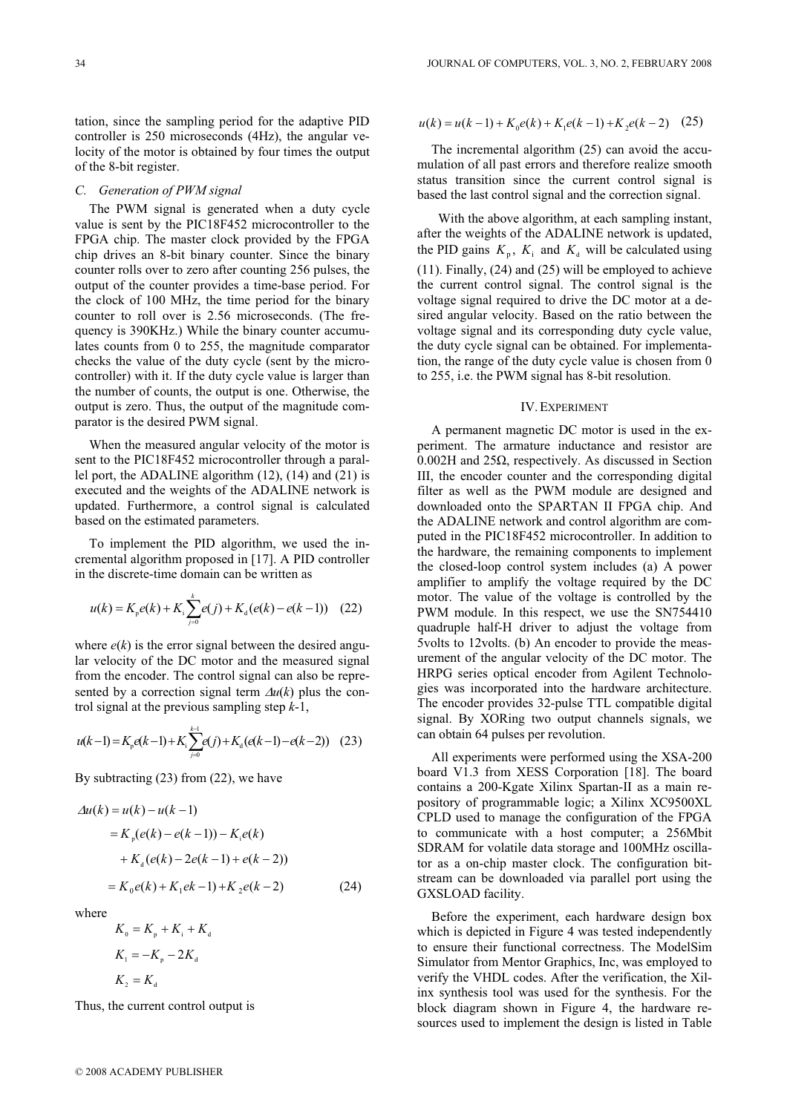tation, since the sampling period for the adaptive PID controller is 250 microseconds (4Hz), the angular velocity of the motor is obtained by four times the output of the 8-bit register.

## *C. Generation of PWM signal*

The PWM signal is generated when a duty cycle value is sent by the PIC18F452 microcontroller to the FPGA chip. The master clock provided by the FPGA chip drives an 8-bit binary counter. Since the binary counter rolls over to zero after counting 256 pulses, the output of the counter provides a time-base period. For the clock of 100 MHz, the time period for the binary counter to roll over is 2.56 microseconds. (The frequency is 390KHz.) While the binary counter accumulates counts from 0 to 255, the magnitude comparator checks the value of the duty cycle (sent by the microcontroller) with it. If the duty cycle value is larger than the number of counts, the output is one. Otherwise, the output is zero. Thus, the output of the magnitude comparator is the desired PWM signal.

When the measured angular velocity of the motor is sent to the PIC18F452 microcontroller through a parallel port, the ADALINE algorithm (12), (14) and (21) is executed and the weights of the ADALINE network is updated. Furthermore, a control signal is calculated based on the estimated parameters.

To implement the PID algorithm, we used the incremental algorithm proposed in [17]. A PID controller in the discrete-time domain can be written as

$$
u(k) = K_p e(k) + K_i \sum_{j=0}^{k} e(j) + K_d (e(k) - e(k-1)) \quad (22)
$$

where  $e(k)$  is the error signal between the desired angular velocity of the DC motor and the measured signal from the encoder. The control signal can also be represented by a correction signal term  $\Delta u(k)$  plus the control signal at the previous sampling step *k*-1,

$$
u(k-1) = K_p e(k-1) + K_1 \sum_{j=0}^{k-1} e(j) + K_d (e(k-1) - e(k-2)) \quad (23)
$$

By subtracting (23) from (22), we have

$$
\Delta u(k) = u(k) - u(k-1)
$$
  
=  $K_p(e(k) - e(k-1)) - K_i e(k)$   
+  $K_d(e(k) - 2e(k-1) + e(k-2))$   
=  $K_0 e(k) + K_1 e(k-1) + K_2 e(k-2)$  (24)

where

$$
K_0 = K_p + K_i + K_d
$$
  
\n
$$
K_1 = -K_p - 2K_d
$$
  
\n
$$
K_2 = K_d
$$

Thus, the current control output is

$$
u(k) = u(k-1) + K_0 e(k) + K_1 e(k-1) + K_2 e(k-2)
$$
 (25)

The incremental algorithm (25) can avoid the accumulation of all past errors and therefore realize smooth status transition since the current control signal is based the last control signal and the correction signal.

 With the above algorithm, at each sampling instant, after the weights of the ADALINE network is updated, the PID gains  $K_p$ ,  $K_i$  and  $K_d$  will be calculated using (11). Finally, (24) and (25) will be employed to achieve the current control signal. The control signal is the voltage signal required to drive the DC motor at a desired angular velocity. Based on the ratio between the voltage signal and its corresponding duty cycle value, the duty cycle signal can be obtained. For implementation, the range of the duty cycle value is chosen from 0 to 255, i.e. the PWM signal has 8-bit resolution.

#### IV.EXPERIMENT

A permanent magnetic DC motor is used in the experiment. The armature inductance and resistor are  $0.002H$  and  $25\Omega$ , respectively. As discussed in Section III, the encoder counter and the corresponding digital filter as well as the PWM module are designed and downloaded onto the SPARTAN II FPGA chip. And the ADALINE network and control algorithm are computed in the PIC18F452 microcontroller. In addition to the hardware, the remaining components to implement the closed-loop control system includes (a) A power amplifier to amplify the voltage required by the DC motor. The value of the voltage is controlled by the PWM module. In this respect, we use the SN754410 quadruple half-H driver to adjust the voltage from 5volts to 12volts. (b) An encoder to provide the measurement of the angular velocity of the DC motor. The HRPG series optical encoder from Agilent Technologies was incorporated into the hardware architecture. The encoder provides 32-pulse TTL compatible digital signal. By XORing two output channels signals, we can obtain 64 pulses per revolution.

All experiments were performed using the XSA-200 board V1.3 from XESS Corporation [18]. The board contains a 200-Kgate Xilinx Spartan-II as a main repository of programmable logic; a Xilinx XC9500XL CPLD used to manage the configuration of the FPGA to communicate with a host computer; a 256Mbit SDRAM for volatile data storage and 100MHz oscillator as a on-chip master clock. The configuration bitstream can be downloaded via parallel port using the GXSLOAD facility.

Before the experiment, each hardware design box which is depicted in Figure 4 was tested independently to ensure their functional correctness. The ModelSim Simulator from Mentor Graphics, Inc, was employed to verify the VHDL codes. After the verification, the Xilinx synthesis tool was used for the synthesis. For the block diagram shown in Figure 4, the hardware resources used to implement the design is listed in Table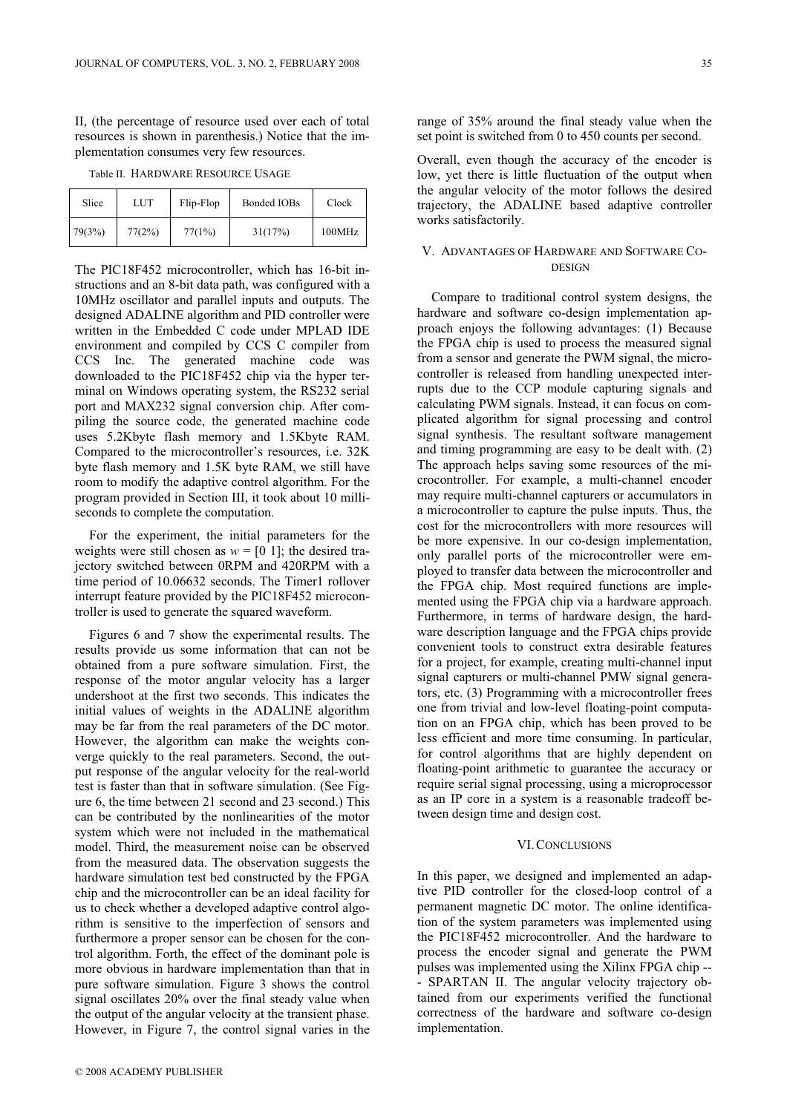II, (the percentage of resource used over each of total resources is shown in parenthesis.) Notice that the implementation consumes very few resources.

Table II. HARDWARE RESOURCE USAGE

| Slice  | LUT    | Flip-Flop | Bonded IOBs | Clock  |
|--------|--------|-----------|-------------|--------|
| 79(3%) | 77(2%) | 77(1%)    | 31(17%)     | 100MHz |

The PIC18F452 microcontroller, which has 16-bit instructions and an 8-bit data path, was configured with a 10MHz oscillator and parallel inputs and outputs. The designed ADALINE algorithm and PID controller were written in the Embedded C code under MPLAD IDE environment and compiled by CCS C compiler from CCS Inc. The generated machine code was downloaded to the PIC18F452 chip via the hyper terminal on Windows operating system, the RS232 serial port and MAX232 signal conversion chip. After compiling the source code, the generated machine code uses 5.2Kbyte flash memory and 1.5Kbyte RAM. Compared to the microcontroller's resources, i.e. 32K byte flash memory and 1.5K byte RAM, we still have room to modify the adaptive control algorithm. For the program provided in Section III, it took about 10 milliseconds to complete the computation.

For the experiment, the initial parameters for the weights were still chosen as  $w = [0 1]$ ; the desired trajectory switched between 0RPM and 420RPM with a time period of 10.06632 seconds. The Timer1 rollover interrupt feature provided by the PIC18F452 microcontroller is used to generate the squared waveform.

Figures 6 and 7 show the experimental results. The results provide us some information that can not be obtained from a pure software simulation. First, the response of the motor angular velocity has a larger undershoot at the first two seconds. This indicates the initial values of weights in the ADALINE algorithm may be far from the real parameters of the DC motor. However, the algorithm can make the weights converge quickly to the real parameters. Second, the output response of the angular velocity for the real-world test is faster than that in software simulation. (See Figure 6, the time between 21 second and 23 second.) This can be contributed by the nonlinearities of the motor system which were not included in the mathematical model. Third, the measurement noise can be observed from the measured data. The observation suggests the hardware simulation test bed constructed by the FPGA chip and the microcontroller can be an ideal facility for us to check whether a developed adaptive control algorithm is sensitive to the imperfection of sensors and furthermore a proper sensor can be chosen for the control algorithm. Forth, the effect of the dominant pole is more obvious in hardware implementation than that in pure software simulation. Figure 3 shows the control signal oscillates 20% over the final steady value when the output of the angular velocity at the transient phase. However, in Figure 7, the control signal varies in the

Compare to traditional control system designs, the hardware and software co-design implementation approach enjoys the following advantages: (1) Because the FPGA chip is used to process the measured signal from a sensor and generate the PWM signal, the microcontroller is released from handling unexpected interrupts due to the CCP module capturing signals and calculating PWM signals. Instead, it can focus on complicated algorithm for signal processing and control signal synthesis. The resultant software management and timing programming are easy to be dealt with. (2) The approach helps saving some resources of the microcontroller. For example, a multi-channel encoder may require multi-channel capturers or accumulators in a microcontroller to capture the pulse inputs. Thus, the cost for the microcontrollers with more resources will be more expensive. In our co-design implementation, only parallel ports of the microcontroller were employed to transfer data between the microcontroller and the FPGA chip. Most required functions are implemented using the FPGA chip via a hardware approach. Furthermore, in terms of hardware design, the hardware description language and the FPGA chips provide convenient tools to construct extra desirable features for a project, for example, creating multi-channel input signal capturers or multi-channel PMW signal generators, etc. (3) Programming with a microcontroller frees one from trivial and low-level floating-point computation on an FPGA chip, which has been proved to be less efficient and more time consuming. In particular, for control algorithms that are highly dependent on floating-point arithmetic to guarantee the accuracy or require serial signal processing, using a microprocessor as an IP core in a system is a reasonable tradeoff between design time and design cost.

## VI.CONCLUSIONS

In this paper, we designed and implemented an adaptive PID controller for the closed-loop control of a permanent magnetic DC motor. The online identification of the system parameters was implemented using the PIC18F452 microcontroller. And the hardware to process the encoder signal and generate the PWM pulses was implemented using the Xilinx FPGA chip -- - SPARTAN II. The angular velocity trajectory obtained from our experiments verified the functional correctness of the hardware and software co-design implementation.

range of 35% around the final steady value when the set point is switched from 0 to 450 counts per second.

Overall, even though the accuracy of the encoder is low, yet there is little fluctuation of the output when the angular velocity of the motor follows the desired trajectory, the ADALINE based adaptive controller works satisfactorily.

# V. ADVANTAGES OF HARDWARE AND SOFTWARE CO-DESIGN